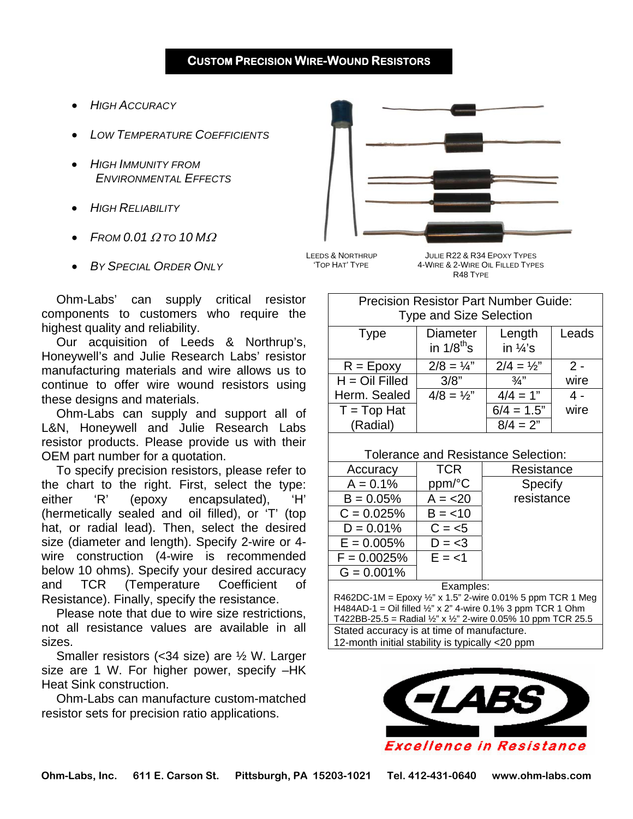- *HIGH ACCURACY*
- *LOW TEMPERATURE COEFFICIENTS*
- *HIGH IMMUNITY FROM ENVIRONMENTAL EFFECTS*
- *HIGH RELIABILITY*
- *FROM 0.01* <sup>Ω</sup> *TO 10 M*<sup>Ω</sup>
- *BY SPECIAL ORDER ONLY*

LEEDS & NORTHRUP JULIE R22 & R34 EPOXY TYPES

 'TOP HAT' TYPE 4-WIRE & 2-WIRE OIL FILLED TYPES R48 TYPE

Ohm-Labs' can supply critical resistor components to customers who require the highest quality and reliability.

Our acquisition of Leeds & Northrup's, Honeywell's and Julie Research Labs' resistor manufacturing materials and wire allows us to continue to offer wire wound resistors using these designs and materials.

Ohm-Labs can supply and support all of L&N, Honeywell and Julie Research Labs resistor products. Please provide us with their OEM part number for a quotation.

To specify precision resistors, please refer to the chart to the right. First, select the type: either 'R' (epoxy encapsulated), 'H' (hermetically sealed and oil filled), or 'T' (top hat, or radial lead). Then, select the desired size (diameter and length). Specify 2-wire or 4 wire construction (4-wire is recommended below 10 ohms). Specify your desired accuracy and TCR (Temperature Coefficient of Resistance). Finally, specify the resistance.

Please note that due to wire size restrictions, not all resistance values are available in all sizes.

Smaller resistors (<34 size) are ½ W. Larger size are 1 W. For higher power, specify –HK Heat Sink construction.

Ohm-Labs can manufacture custom-matched resistor sets for precision ratio applications.

| <b>Type and Size Selection</b> |                                    |                               |       |  |  |  |  |
|--------------------------------|------------------------------------|-------------------------------|-------|--|--|--|--|
| <b>Type</b>                    | <b>Diameter</b><br>in $1/8^{th}$ s | Length<br>in $\frac{1}{4}$ 's | Leads |  |  |  |  |
| $R = E$ poxy                   | $2/8 = 1/4$ "                      | $2/4 = \frac{1}{2}$           | $2 -$ |  |  |  |  |
| $H = Oil$ Filled               | 3/8"                               | $\frac{3}{4}$                 | wire  |  |  |  |  |
| Herm. Sealed                   | $4/8 = 1/2$ "                      | $4/4 = 1"$                    | 4 -   |  |  |  |  |
| $T = Top Hat$                  |                                    | $6/4 = 1.5"$                  | wire  |  |  |  |  |
| (Radial)                       |                                    | $8/4 = 2"$                    |       |  |  |  |  |

Precision Resistor Part Number Guide:

## Tolerance and Resistance Selection:

| Accuracy              | <b>TCR</b> | Resistance |  |  |  |  |
|-----------------------|------------|------------|--|--|--|--|
| $A = 0.1%$            | ppm/°C     | Specify    |  |  |  |  |
| $B = 0.05%$           | $A = 20$   | resistance |  |  |  |  |
| $C = 0.025%$          | $B = < 10$ |            |  |  |  |  |
| $D = 0.01%$           | $C = 5$    |            |  |  |  |  |
| $E = 0.005%$          | $D = <3$   |            |  |  |  |  |
| $F = 0.0025%$         | $E = < 1$  |            |  |  |  |  |
| $G = 0.001\%$         |            |            |  |  |  |  |
| Evamnles <sup>.</sup> |            |            |  |  |  |  |

Examples: R462DC-1M = Epoxy  $\frac{1}{2}$ " x 1.5" 2-wire 0.01% 5 ppm TCR 1 Meg H484AD-1 = Oil filled  $\frac{1}{2}$ " x 2" 4-wire 0.1% 3 ppm TCR 1 Ohm T422BB-25.5 = Radial  $\frac{1}{2}$ " x  $\frac{1}{2}$ " 2-wire 0.05% 10 ppm TCR 25.5

Stated accuracy is at time of manufacture.